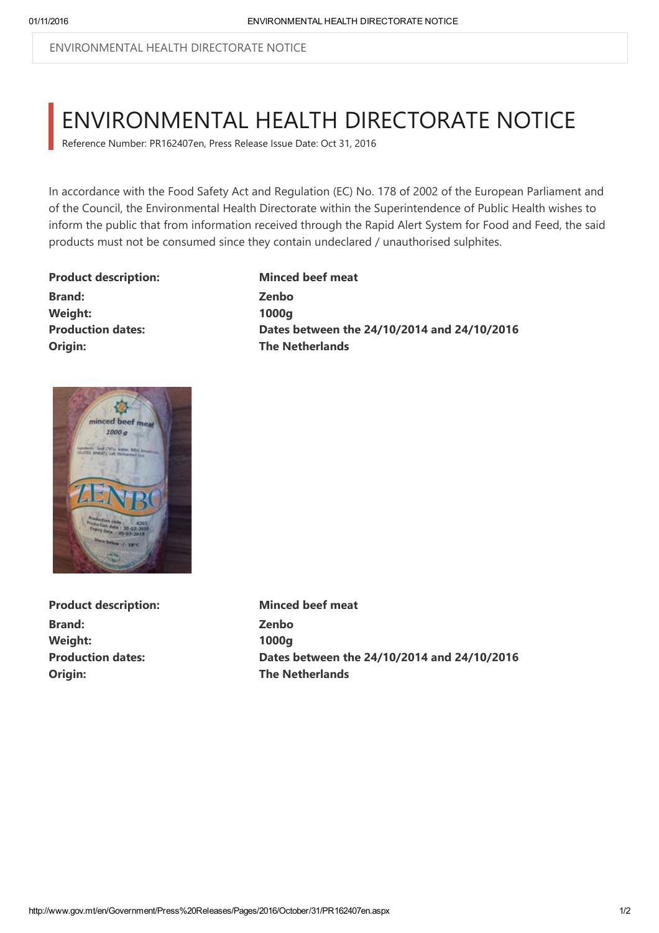ENVIRONMENTAL HEALTH DIRECTORATE NOTICE

## ENVIRONMENTAL HEALTH DIRECTORATE NOTICE

Reference Number: PR162407en, Press Release Issue Date: Oct 31, 2016

In accordance with the Food Safety Act and Regulation (EC) No. 178 of 2002 of the European Parliament and of the Council, the Environmental Health Directorate within the Superintendence of Public Health wishes to inform the public that from information received through the Rapid Alert System for Food and Feed, the said products must not be consumed since they contain undeclared / unauthorised sulphites.

Product description: Minced beef meat Brand: Zenbo Weight: 1000g Origin: The Netherlands

Production dates: Dates between the 24/10/2014 and 24/10/2016



Product description: Minced beef meat Brand: Zenbo Weight: 1000g **Origin:** The Netherlands

Production dates: Dates between the 24/10/2014 and 24/10/2016